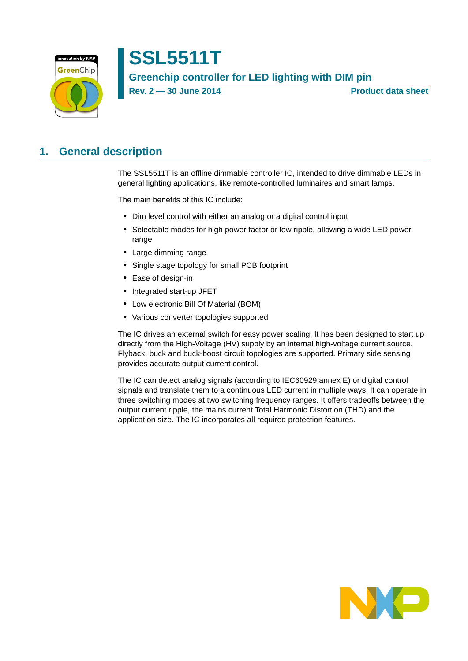

**Rev. 2 — 30 June 2014 Product data sheet**

# <span id="page-0-0"></span>**1. General description**

The SSL5511T is an offline dimmable controller IC, intended to drive dimmable LEDs in general lighting applications, like remote-controlled luminaires and smart lamps.

The main benefits of this IC include:

- **•** Dim level control with either an analog or a digital control input
- **•** Selectable modes for high power factor or low ripple, allowing a wide LED power range
- **•** Large dimming range
- **•** Single stage topology for small PCB footprint
- **•** Ease of design-in
- **•** Integrated start-up JFET
- **•** Low electronic Bill Of Material (BOM)
- **•** Various converter topologies supported

The IC drives an external switch for easy power scaling. It has been designed to start up directly from the High-Voltage (HV) supply by an internal high-voltage current source. Flyback, buck and buck-boost circuit topologies are supported. Primary side sensing provides accurate output current control.

The IC can detect analog signals (according to IEC60929 annex E) or digital control signals and translate them to a continuous LED current in multiple ways. It can operate in three switching modes at two switching frequency ranges. It offers tradeoffs between the output current ripple, the mains current Total Harmonic Distortion (THD) and the application size. The IC incorporates all required protection features.

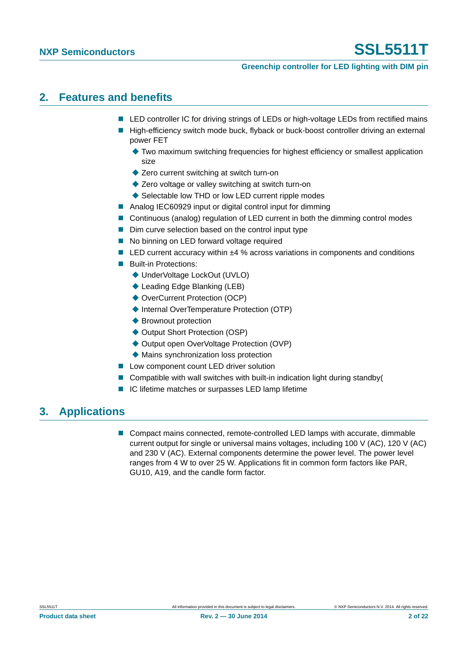#### **Greenchip controller for LED lighting with DIM pin**

### <span id="page-1-0"></span>**2. Features and benefits**

- LED controller IC for driving strings of LEDs or high-voltage LEDs from rectified mains
- High-efficiency switch mode buck, flyback or buck-boost controller driving an external power FET
	- Two maximum switching frequencies for highest efficiency or smallest application size
	- ◆ Zero current switching at switch turn-on
	- ◆ Zero voltage or valley switching at switch turn-on
	- ◆ Selectable low THD or low LED current ripple modes
- Analog IEC60929 input or digital control input for dimming
- Continuous (analog) regulation of LED current in both the dimming control modes
- Dim curve selection based on the control input type
- No binning on LED forward voltage required
- LED current accuracy within ±4 % across variations in components and conditions
- **Built-in Protections:** 
	- ◆ UnderVoltage LockOut (UVLO)
	- ◆ Leading Edge Blanking (LEB)
	- ◆ OverCurrent Protection (OCP)
	- ◆ Internal OverTemperature Protection (OTP)
	- ◆ Brownout protection
	- ◆ Output Short Protection (OSP)
	- ◆ Output open OverVoltage Protection (OVP)
	- Mains synchronization loss protection
- **Low component count LED driver solution**
- Compatible with wall switches with built-in indication light during standby( $\blacksquare$
- IC lifetime matches or surpasses LED lamp lifetime

## <span id="page-1-1"></span>**3. Applications**

**Compact mains connected, remote-controlled LED lamps with accurate, dimmable** current output for single or universal mains voltages, including 100 V (AC), 120 V (AC) and 230 V (AC). External components determine the power level. The power level ranges from 4 W to over 25 W. Applications fit in common form factors like PAR, GU10, A19, and the candle form factor.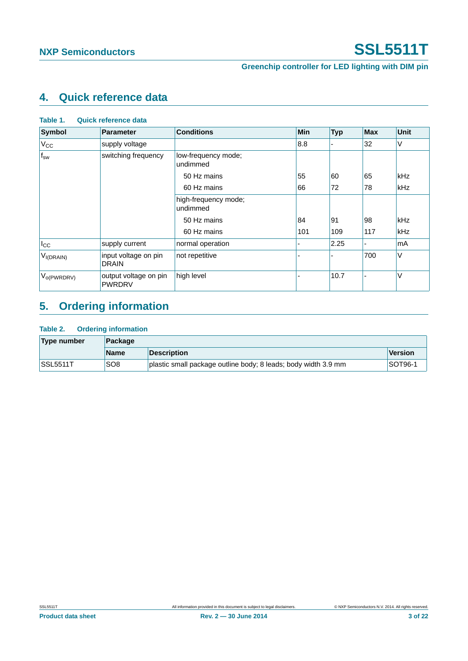# <span id="page-2-0"></span>**4. Quick reference data**

| Table 1.<br>Quick reference data |                                        |                                  |            |            |            |             |
|----------------------------------|----------------------------------------|----------------------------------|------------|------------|------------|-------------|
| <b>Symbol</b>                    | <b>Parameter</b>                       | <b>Conditions</b>                | <b>Min</b> | <b>Typ</b> | <b>Max</b> | <b>Unit</b> |
| $V_{CC}$                         | supply voltage                         |                                  | 8.8        |            | 32         | V           |
| $f_{sw}$                         | switching frequency                    | low-frequency mode;<br>undimmed  |            |            |            |             |
|                                  |                                        | 50 Hz mains                      | 55         | 60         | 65         | kHz         |
|                                  |                                        | 60 Hz mains                      | 66         | 72         | 78         | kHz         |
|                                  |                                        | high-frequency mode;<br>undimmed |            |            |            |             |
|                                  |                                        | 50 Hz mains                      | 84         | 91         | 98         | kHz         |
|                                  |                                        | 60 Hz mains                      | 101        | 109        | 117        | <b>kHz</b>  |
| $I_{\rm CC}$                     | supply current                         | normal operation                 |            | 2.25       |            | mA          |
| $V_{I(DRAIN)}$                   | input voltage on pin<br><b>DRAIN</b>   | not repetitive                   |            |            | 700        | V           |
| $V_{o(PWRDRV)}$                  | output voltage on pin<br><b>PWRDRV</b> | high level                       |            | 10.7       |            | V           |

# <span id="page-2-1"></span>**5. Ordering information**

#### **Table 2. Ordering information**

| Type number     | Package         |                                                                |         |  |
|-----------------|-----------------|----------------------------------------------------------------|---------|--|
|                 | <b>Name</b>     | <b>Description</b>                                             | Version |  |
| <b>SSL5511T</b> | SO <sub>8</sub> | plastic small package outline body; 8 leads; body width 3.9 mm | SOT96-1 |  |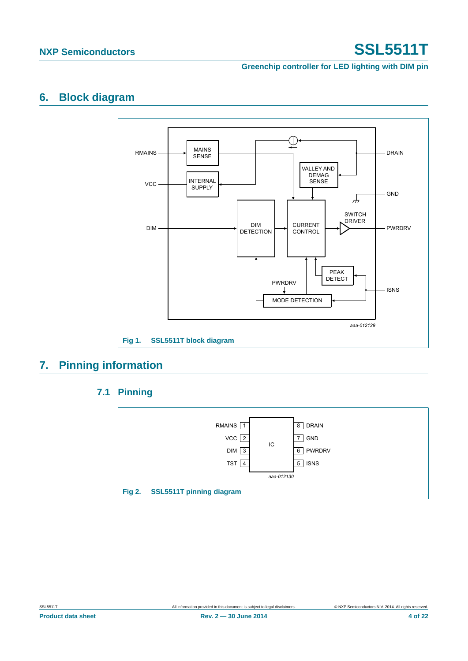**Greenchip controller for LED lighting with DIM pin**

## <span id="page-3-0"></span>**6. Block diagram**



# <span id="page-3-2"></span><span id="page-3-1"></span>**7. Pinning information**

### **7.1 Pinning**

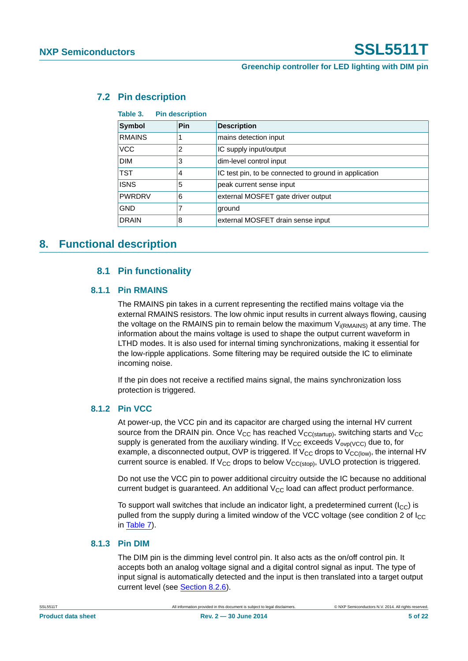#### <span id="page-4-0"></span>**7.2 Pin description**

**Table 3. Pin description**

| ianic J.<br><b>THE ACSAMPLIAN</b> |     |                                                       |  |  |
|-----------------------------------|-----|-------------------------------------------------------|--|--|
| <b>Symbol</b>                     | Pin | <b>Description</b>                                    |  |  |
| <b>RMAINS</b>                     |     | mains detection input                                 |  |  |
| <b>VCC</b>                        | 2   | IC supply input/output                                |  |  |
| <b>DIM</b>                        | 3   | dim-level control input                               |  |  |
| <b>TST</b>                        | 4   | IC test pin, to be connected to ground in application |  |  |
| <b>ISNS</b>                       | 5   | peak current sense input                              |  |  |
| <b>PWRDRV</b>                     | 6   | external MOSFET gate driver output                    |  |  |
| <b>GND</b>                        |     | ground                                                |  |  |
| <b>DRAIN</b>                      | 8   | external MOSFET drain sense input                     |  |  |

### <span id="page-4-3"></span><span id="page-4-2"></span><span id="page-4-1"></span>**8. Functional description**

#### **8.1 Pin functionality**

#### **8.1.1 Pin RMAINS**

The RMAINS pin takes in a current representing the rectified mains voltage via the external RMAINS resistors. The low ohmic input results in current always flowing, causing the voltage on the RMAINS pin to remain below the maximum  $V_{i(RMAINS)}$  at any time. The information about the mains voltage is used to shape the output current waveform in LTHD modes. It is also used for internal timing synchronizations, making it essential for the low-ripple applications. Some filtering may be required outside the IC to eliminate incoming noise.

If the pin does not receive a rectified mains signal, the mains synchronization loss protection is triggered.

#### <span id="page-4-4"></span>**8.1.2 Pin VCC**

At power-up, the VCC pin and its capacitor are charged using the internal HV current source from the DRAIN pin. Once  $V_{CC}$  has reached  $V_{CC(statup)}$ , switching starts and  $V_{CC}$ supply is generated from the auxiliary winding. If  $V_{CC}$  exceeds  $V_{ovp(VCC)}$  due to, for example, a disconnected output, OVP is triggered. If  $V_{CC}$  drops to  $V_{CC(low)}$ , the internal HV current source is enabled. If  $V_{CC}$  drops to below  $V_{CC(stop)}$ , UVLO protection is triggered.

Do not use the VCC pin to power additional circuitry outside the IC because no additional current budget is guaranteed. An additional  $V_{CC}$  load can affect product performance.

To support wall switches that include an indicator light, a predetermined current  $(I_{\rm CC})$  is pulled from the supply during a limited window of the VCC voltage (see condition 2 of  $I_{\text{CC}}$ ) in [Table 7\)](#page-13-0).

#### <span id="page-4-5"></span>**8.1.3 Pin DIM**

The DIM pin is the dimming level control pin. It also acts as the on/off control pin. It accepts both an analog voltage signal and a digital control signal as input. The type of input signal is automatically detected and the input is then translated into a target output current level (see [Section 8.2.6\)](#page-8-0).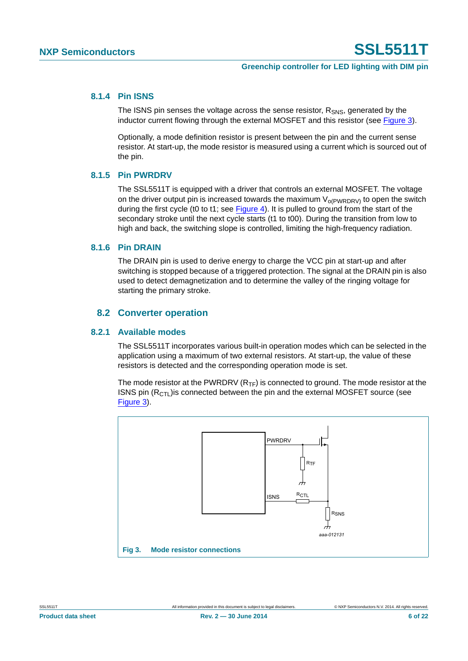#### <span id="page-5-2"></span>**8.1.4 Pin ISNS**

The ISNS pin senses the voltage across the sense resistor,  $R_{SNS}$ , generated by the inductor current flowing through the external MOSFET and this resistor (see [Figure 3\)](#page-5-0).

Optionally, a mode definition resistor is present between the pin and the current sense resistor. At start-up, the mode resistor is measured using a current which is sourced out of the pin.

#### <span id="page-5-3"></span>**8.1.5 Pin PWRDRV**

The SSL5511T is equipped with a driver that controls an external MOSFET. The voltage on the driver output pin is increased towards the maximum  $V_{o(PWRDRV)}$  to open the switch during the first cycle (t0 to t1; see [Figure 4\)](#page-7-0). It is pulled to ground from the start of the secondary stroke until the next cycle starts (t1 to t00). During the transition from low to high and back, the switching slope is controlled, limiting the high-frequency radiation.

#### <span id="page-5-4"></span>**8.1.6 Pin DRAIN**

The DRAIN pin is used to derive energy to charge the VCC pin at start-up and after switching is stopped because of a triggered protection. The signal at the DRAIN pin is also used to detect demagnetization and to determine the valley of the ringing voltage for starting the primary stroke.

#### **8.2 Converter operation**

#### <span id="page-5-5"></span><span id="page-5-1"></span>**8.2.1 Available modes**

The SSL5511T incorporates various built-in operation modes which can be selected in the application using a maximum of two external resistors. At start-up, the value of these resistors is detected and the corresponding operation mode is set.

The mode resistor at the PWRDRV  $(R_{TF})$  is connected to ground. The mode resistor at the ISNS pin  $(R<sub>CT</sub>)$  is connected between the pin and the external MOSFET source (see [Figure 3\)](#page-5-0).

<span id="page-5-0"></span>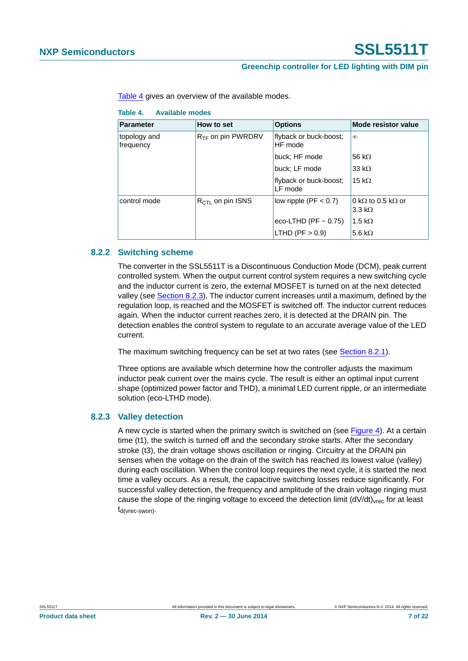#### **Greenchip controller for LED lighting with DIM pin**

[Table 4](#page-6-0) gives an overview of the available modes.

<span id="page-6-0"></span>**Table 4. Available modes**

| <b>Parameter</b>          | How to set                   | <b>Options</b>                    | Mode resistor value                                        |
|---------------------------|------------------------------|-----------------------------------|------------------------------------------------------------|
| topology and<br>frequency | $R_{TF}$ on pin PWRDRV       | flyback or buck-boost;<br>HF mode | $\infty$                                                   |
|                           |                              | buck; HF mode                     | 56 k $\Omega$                                              |
|                           |                              | buck; LF mode                     | 33 k $\Omega$                                              |
|                           |                              | flyback or buck-boost;<br>LF mode | 15 k $\Omega$                                              |
| control mode              | $R_{\text{CTL}}$ on pin ISNS | low ripple ( $PF < 0.7$ )         | 0 k $\Omega$ to 0.5 k $\Omega$ or<br>$3.3 \text{ k}\Omega$ |
|                           |                              | eco-LTHD (PF $\sim$ 0.75)         | 1.5 k $\Omega$                                             |
|                           |                              | LTHD (PF $> 0.9$ )                | 5.6 k $\Omega$                                             |

#### <span id="page-6-2"></span>**8.2.2 Switching scheme**

The converter in the SSL5511T is a Discontinuous Conduction Mode (DCM), peak current controlled system. When the output current control system requires a new switching cycle and the inductor current is zero, the external MOSFET is turned on at the next detected valley (see [Section 8.2.3](#page-6-1)). The inductor current increases until a maximum, defined by the regulation loop, is reached and the MOSFET is switched off. The inductor current reduces again. When the inductor current reaches zero, it is detected at the DRAIN pin. The detection enables the control system to regulate to an accurate average value of the LED current.

The maximum switching frequency can be set at two rates (see [Section 8.2.1\)](#page-5-1).

Three options are available which determine how the controller adjusts the maximum inductor peak current over the mains cycle. The result is either an optimal input current shape (optimized power factor and THD), a minimal LED current ripple, or an intermediate solution (eco-LTHD mode).

#### <span id="page-6-1"></span>**8.2.3 Valley detection**

A new cycle is started when the primary switch is switched on (see [Figure 4](#page-7-0)). At a certain time (t1), the switch is turned off and the secondary stroke starts. After the secondary stroke (t3), the drain voltage shows oscillation or ringing. Circuitry at the DRAIN pin senses when the voltage on the drain of the switch has reached its lowest value (valley) during each oscillation. When the control loop requires the next cycle, it is started the next time a valley occurs. As a result, the capacitive switching losses reduce significantly. For successful valley detection, the frequency and amplitude of the drain voltage ringing must cause the slope of the ringing voltage to exceed the detection limit  $(dV/dt)_{\text{vrec}}$  for at least td(vrec-swon).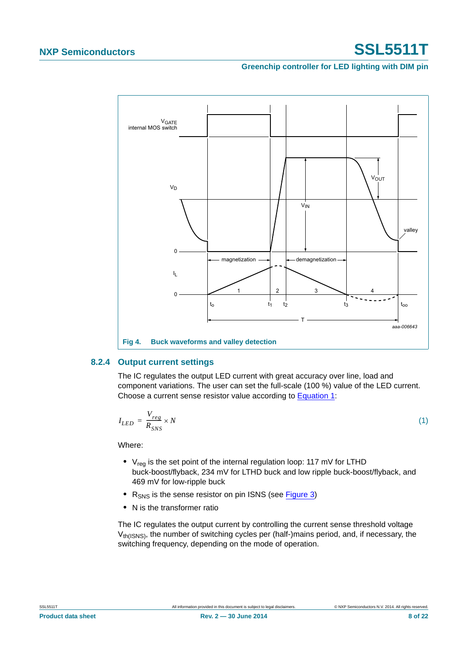**Greenchip controller for LED lighting with DIM pin**



#### <span id="page-7-2"></span><span id="page-7-0"></span>**8.2.4 Output current settings**

The IC regulates the output LED current with great accuracy over line, load and component variations. The user can set the full-scale (100 %) value of the LED current. Choose a current sense resistor value according to [Equation 1](#page-7-1):

<span id="page-7-1"></span>
$$
I_{LED} = \frac{V_{reg}}{R_{SNS}} \times N \tag{1}
$$

Where:

- V<sub>req</sub> is the set point of the internal regulation loop: 117 mV for LTHD buck-boost/flyback, 234 mV for LTHD buck and low ripple buck-boost/flyback, and 469 mV for low-ripple buck
- R<sub>SNS</sub> is the sense resistor on pin ISNS (see [Figure 3](#page-5-0))
- **•** N is the transformer ratio

The IC regulates the output current by controlling the current sense threshold voltage  $V_{th(ISS)$ , the number of switching cycles per (half-)mains period, and, if necessary, the switching frequency, depending on the mode of operation.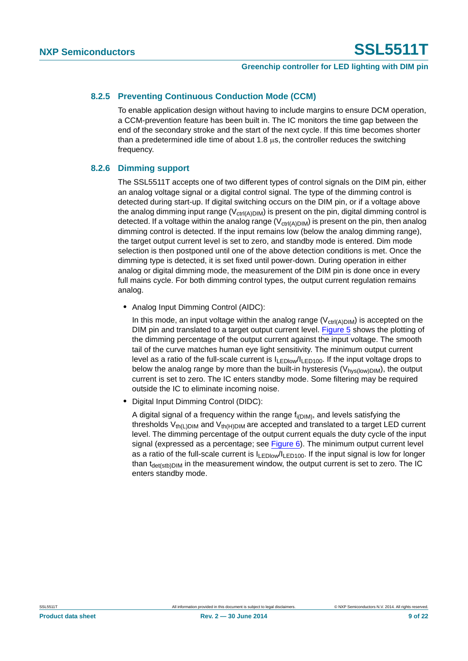#### <span id="page-8-1"></span>**8.2.5 Preventing Continuous Conduction Mode (CCM)**

To enable application design without having to include margins to ensure DCM operation, a CCM-prevention feature has been built in. The IC monitors the time gap between the end of the secondary stroke and the start of the next cycle. If this time becomes shorter than a predetermined idle time of about 1.8  $\mu$ s, the controller reduces the switching frequency.

#### <span id="page-8-0"></span>**8.2.6 Dimming support**

The SSL5511T accepts one of two different types of control signals on the DIM pin, either an analog voltage signal or a digital control signal. The type of the dimming control is detected during start-up. If digital switching occurs on the DIM pin, or if a voltage above the analog dimming input range ( $V_{ctrl(A)DIM}$ ) is present on the pin, digital dimming control is detected. If a voltage within the analog range  $(V_{\text{ctrl(A)DIM}})$  is present on the pin, then analog dimming control is detected. If the input remains low (below the analog dimming range), the target output current level is set to zero, and standby mode is entered. Dim mode selection is then postponed until one of the above detection conditions is met. Once the dimming type is detected, it is set fixed until power-down. During operation in either analog or digital dimming mode, the measurement of the DIM pin is done once in every full mains cycle. For both dimming control types, the output current regulation remains analog.

**•** Analog Input Dimming Control (AIDC):

In this mode, an input voltage within the analog range  $(V_{ctrl(A)DIM})$  is accepted on the DIM pin and translated to a target output current level. [Figure 5](#page-9-0) shows the plotting of the dimming percentage of the output current against the input voltage. The smooth tail of the curve matches human eye light sensitivity. The minimum output current level as a ratio of the full-scale current is  $I_{LED100}/I_{LED100}$ . If the input voltage drops to below the analog range by more than the built-in hysteresis ( $V_{\text{hvs(low)DM}}$ ), the output current is set to zero. The IC enters standby mode. Some filtering may be required outside the IC to eliminate incoming noise.

**•** Digital Input Dimming Control (DIDC):

A digital signal of a frequency within the range  $f_{i(DIM)}$ , and levels satisfying the thresholds  $V_{th(L)DIM}$  and  $V_{th(H)DIM}$  are accepted and translated to a target LED current level. The dimming percentage of the output current equals the duty cycle of the input signal (expressed as a percentage; see  $Figure 6$ ). The minimum output current level as a ratio of the full-scale current is  $I_{LEDlow}/I_{LED100}$ . If the input signal is low for longer than  $t_{\text{det(stb)DIM}}$  in the measurement window, the output current is set to zero. The IC enters standby mode.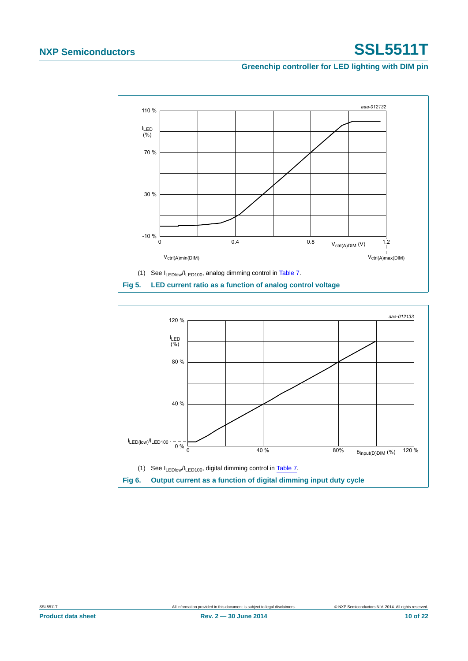**Greenchip controller for LED lighting with DIM pin**



<span id="page-9-1"></span><span id="page-9-0"></span>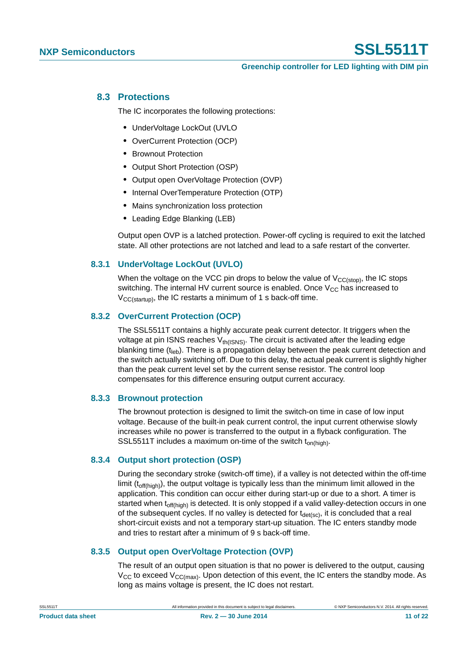#### <span id="page-10-0"></span>**8.3 Protections**

The IC incorporates the following protections:

- **•** UnderVoltage LockOut (UVLO
- **•** OverCurrent Protection (OCP)
- **•** Brownout Protection
- **•** Output Short Protection (OSP)
- **•** Output open OverVoltage Protection (OVP)
- **•** Internal OverTemperature Protection (OTP)
- **•** Mains synchronization loss protection
- **•** Leading Edge Blanking (LEB)

Output open OVP is a latched protection. Power-off cycling is required to exit the latched state. All other protections are not latched and lead to a safe restart of the converter.

#### <span id="page-10-1"></span>**8.3.1 UnderVoltage LockOut (UVLO)**

When the voltage on the VCC pin drops to below the value of  $V_{CC(stop)}$ , the IC stops switching. The internal HV current source is enabled. Once  $V_{CC}$  has increased to  $V_{CC(statun)}$ , the IC restarts a minimum of 1 s back-off time.

#### <span id="page-10-2"></span>**8.3.2 OverCurrent Protection (OCP)**

The SSL5511T contains a highly accurate peak current detector. It triggers when the voltage at pin ISNS reaches  $V_{th(ISS)}$ . The circuit is activated after the leading edge blanking time  $(t<sub>lab</sub>)$ . There is a propagation delay between the peak current detection and the switch actually switching off. Due to this delay, the actual peak current is slightly higher than the peak current level set by the current sense resistor. The control loop compensates for this difference ensuring output current accuracy.

#### <span id="page-10-3"></span>**8.3.3 Brownout protection**

The brownout protection is designed to limit the switch-on time in case of low input voltage. Because of the built-in peak current control, the input current otherwise slowly increases while no power is transferred to the output in a flyback configuration. The SSL5511T includes a maximum on-time of the switch  $t_{on(hich)}$ .

#### <span id="page-10-4"></span>**8.3.4 Output short protection (OSP)**

During the secondary stroke (switch-off time), if a valley is not detected within the off-time limit ( $t_{off(hich)}$ ), the output voltage is typically less than the minimum limit allowed in the application. This condition can occur either during start-up or due to a short. A timer is started when t<sub>off(high)</sub> is detected. It is only stopped if a valid valley-detection occurs in one of the subsequent cycles. If no valley is detected for  $t_{\text{det(sc)}}$ , it is concluded that a real short-circuit exists and not a temporary start-up situation. The IC enters standby mode and tries to restart after a minimum of 9 s back-off time.

#### <span id="page-10-5"></span>**8.3.5 Output open OverVoltage Protection (OVP)**

The result of an output open situation is that no power is delivered to the output, causing  $V_{CC}$  to exceed  $V_{CC(max)}$ . Upon detection of this event, the IC enters the standby mode. As long as mains voltage is present, the IC does not restart.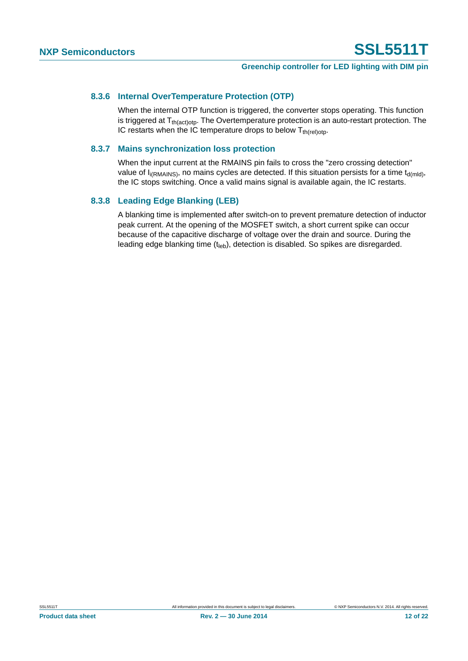#### <span id="page-11-0"></span>**8.3.6 Internal OverTemperature Protection (OTP)**

When the internal OTP function is triggered, the converter stops operating. This function is triggered at  $T_{th (action)}$ . The Overtemperature protection is an auto-restart protection. The IC restarts when the IC temperature drops to below  $T_{th (rel)oto}$ .

#### <span id="page-11-1"></span>**8.3.7 Mains synchronization loss protection**

When the input current at the RMAINS pin fails to cross the "zero crossing detection" value of  $I_{i(RMAINS)}$ , no mains cycles are detected. If this situation persists for a time  $t_{d(mld)}$ , the IC stops switching. Once a valid mains signal is available again, the IC restarts.

#### <span id="page-11-2"></span>**8.3.8 Leading Edge Blanking (LEB)**

A blanking time is implemented after switch-on to prevent premature detection of inductor peak current. At the opening of the MOSFET switch, a short current spike can occur because of the capacitive discharge of voltage over the drain and source. During the leading edge blanking time  $(t_{\text{leb}})$ , detection is disabled. So spikes are disregarded.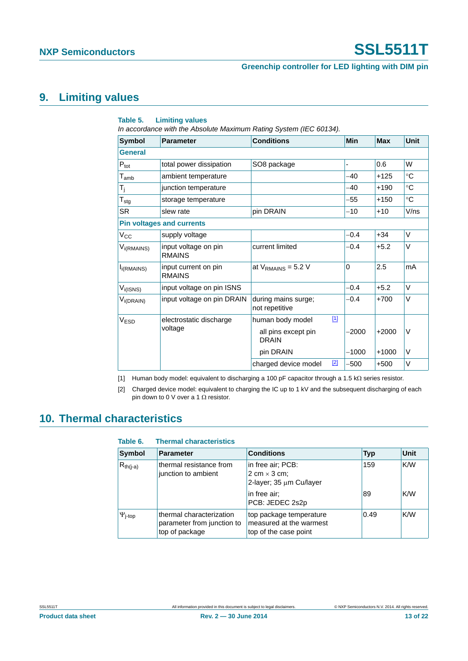#### **Greenchip controller for LED lighting with DIM pin**

### <span id="page-12-2"></span>**9. Limiting values**

| In accordance with the Absolute Maximum Rating System (IEC 60134). |                                       |                                       |       |          |            |             |
|--------------------------------------------------------------------|---------------------------------------|---------------------------------------|-------|----------|------------|-------------|
| <b>Symbol</b>                                                      | <b>Parameter</b>                      | <b>Conditions</b>                     |       | Min      | <b>Max</b> | <b>Unit</b> |
| <b>General</b>                                                     |                                       |                                       |       |          |            |             |
| $P_{\text{tot}}$                                                   | total power dissipation               | SO8 package                           |       |          | 0.6        | W           |
| $T_{\mathsf{amb}}$                                                 | ambient temperature                   |                                       |       | -40      | $+125$     | $^{\circ}C$ |
| $T_j$                                                              | junction temperature                  |                                       |       | -40      | $+190$     | $^{\circ}C$ |
| $T_{\text{stg}}$                                                   | storage temperature                   |                                       |       | -55      | $+150$     | $^{\circ}C$ |
| <b>SR</b>                                                          | slew rate                             | pin DRAIN                             |       | $-10$    | $+10$      | V/ns        |
| <b>Pin voltages and currents</b>                                   |                                       |                                       |       |          |            |             |
| $V_{CC}$                                                           | supply voltage                        |                                       |       | $-0.4$   | $+34$      | V           |
| $V_{i(RMAINS)}$                                                    | input voltage on pin<br><b>RMAINS</b> | current limited                       |       | $-0.4$   | $+5.2$     | V           |
| I <sub>i</sub> (RMAINS)                                            | input current on pin<br><b>RMAINS</b> | at $V_{\text{RMAINS}}$ = 5.2 V        |       | $\Omega$ | 2.5        | mA          |
| $V_{i(ISNS)}$                                                      | input voltage on pin ISNS             |                                       |       | $-0.4$   | $+5.2$     | V           |
| $V_{i(DRAIN)}$                                                     | input voltage on pin DRAIN            | during mains surge;<br>not repetitive |       | $-0.4$   | $+700$     | V           |
| V <sub>ESD</sub>                                                   | electrostatic discharge               | human body model                      | $[1]$ |          |            |             |
|                                                                    | voltage                               | all pins except pin<br><b>DRAIN</b>   |       | $-2000$  | $+2000$    | V           |
|                                                                    |                                       | pin DRAIN                             |       | $-1000$  | $+1000$    | V           |
|                                                                    |                                       | charged device model                  | $[2]$ | -500     | $+500$     | V           |

#### **Table 5. Limiting values**

<span id="page-12-0"></span>[1] Human body model: equivalent to discharging a 100 pF capacitor through a 1.5 k $\Omega$  series resistor.

<span id="page-12-1"></span>[2] Charged device model: equivalent to charging the IC up to 1 kV and the subsequent discharging of each pin down to 0 V over a 1  $\Omega$  resistor.

### <span id="page-12-3"></span>**10. Thermal characteristics**

| Table 6.                | <b>Thermal characteristics</b>                                           |                                                                             |            |             |
|-------------------------|--------------------------------------------------------------------------|-----------------------------------------------------------------------------|------------|-------------|
| Symbol                  | <b>Parameter</b>                                                         | <b>Conditions</b>                                                           | <b>Typ</b> | <b>Unit</b> |
| $R_{th(i-a)}$           | thermal resistance from<br>junction to ambient                           | in free air; PCB:<br>2 cm $\times$ 3 cm;<br>2-layer; 35 µm Cu/layer         | 159        | K/W         |
|                         |                                                                          | in free air;<br>PCB: JEDEC 2s2p                                             | 89         | K/W         |
| $\Psi$ <sub>j-top</sub> | thermal characterization<br>parameter from junction to<br>top of package | top package temperature<br>measured at the warmest<br>top of the case point | 0.49       | K/W         |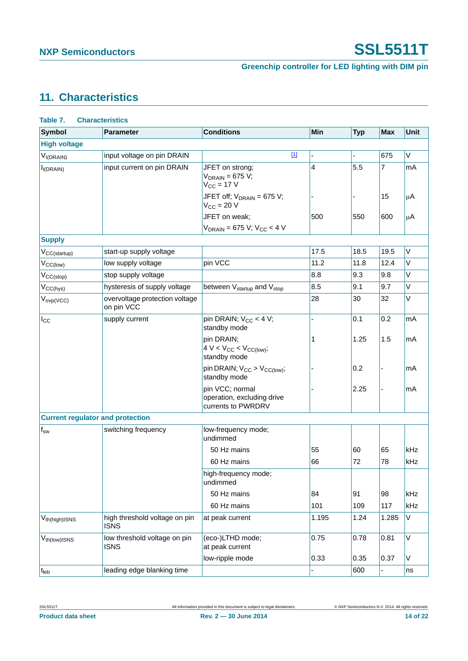# <span id="page-13-1"></span>**11. Characteristics**

<span id="page-13-0"></span>

| Table 7.<br><b>Characteristics</b>      |                                              |                                                                     |                |                |            |              |
|-----------------------------------------|----------------------------------------------|---------------------------------------------------------------------|----------------|----------------|------------|--------------|
| <b>Symbol</b>                           | <b>Parameter</b>                             | <b>Conditions</b>                                                   | Min            | <b>Typ</b>     | <b>Max</b> | <b>Unit</b>  |
| <b>High voltage</b>                     |                                              |                                                                     |                |                |            |              |
| $V_{I(DRAIN)}$                          | input voltage on pin DRAIN                   | $\underline{[1]}$                                                   |                | $\blacksquare$ | 675        | $\vee$       |
| $I_{i(DRAIN)}$                          | input current on pin DRAIN                   | JFET on strong;<br>$V_{DRAIN} = 675 V;$<br>$V_{\rm CC}$ = 17 V      | $\overline{4}$ | 5.5            | 7          | mA           |
|                                         |                                              | JFET off; $V_{DRAIN}$ = 675 V;<br>$V_{CC}$ = 20 V                   |                |                | 15         | μA           |
|                                         |                                              | JFET on weak:<br>$V_{DRAIN}$ = 675 V; V <sub>CC</sub> < 4 V         | 500            | 550            | 600        | μA           |
| <b>Supply</b>                           |                                              |                                                                     |                |                |            |              |
| $V_{CC(statup)}$                        | start-up supply voltage                      |                                                                     | 17.5           | 18.5           | 19.5       | $\mathsf{V}$ |
| $V_{CC(low)}$                           | low supply voltage                           | pin VCC                                                             | 11.2           | 11.8           | 12.4       | V            |
| $V_{CC(stop)}$                          | stop supply voltage                          |                                                                     | 8.8            | 9.3            | 9.8        | Λ            |
| $V_{CC(hys)}$                           | hysteresis of supply voltage                 | between V <sub>startup</sub> and V <sub>stop</sub>                  | 8.5            | 9.1            | 9.7        | $\mathsf V$  |
| $V_{ovp(VCC)}$                          | overvoltage protection voltage<br>on pin VCC |                                                                     | 28             | 30             | 32         | Λ            |
| $I_{\rm CC}$                            | supply current                               | pin DRAIN; $V_{CC}$ < 4 V;<br>standby mode                          |                | 0.1            | 0.2        | mA           |
|                                         |                                              | pin DRAIN;<br>$4 V < V_{CC} < V_{CC(low)}$<br>standby mode          | 1              | 1.25           | 1.5        | mA           |
|                                         |                                              | pin DRAIN; $V_{CC} > V_{CC(low)}$ ;<br>standby mode                 |                | 0.2            |            | mA           |
|                                         |                                              | pin VCC; normal<br>operation, excluding drive<br>currents to PWRDRV |                | 2.25           |            | mA           |
| <b>Current regulator and protection</b> |                                              |                                                                     |                |                |            |              |
| $\mathsf{f}_\mathsf{sw}$                | switching frequency                          | low-frequency mode;<br>undimmed                                     |                |                |            |              |
|                                         |                                              | 50 Hz mains                                                         | 55             | 60             | 65         | kHz          |
|                                         |                                              | 60 Hz mains                                                         | 66             | 72             | 78         | kHz          |
|                                         |                                              | high-frequency mode;<br>undimmed                                    |                |                |            |              |
|                                         |                                              | 50 Hz mains                                                         | 84             | 91             | 98         | kHz          |
|                                         |                                              | 60 Hz mains                                                         | 101            | 109            | 117        | kHz          |
| V <sub>th(high)</sub> ISNS              | high threshold voltage on pin<br><b>ISNS</b> | at peak current                                                     | 1.195          | 1.24           | 1.285      | $\mathsf V$  |
| $V_{th (low)$ ISNS                      | low threshold voltage on pin<br><b>ISNS</b>  | (eco-)LTHD mode;<br>at peak current                                 | 0.75           | 0.78           | 0.81       | V            |
|                                         |                                              | low-ripple mode                                                     | 0.33           | 0.35           | 0.37       | V            |
| $t_{\text{leb}}$                        | leading edge blanking time                   |                                                                     |                | 600            |            | ns           |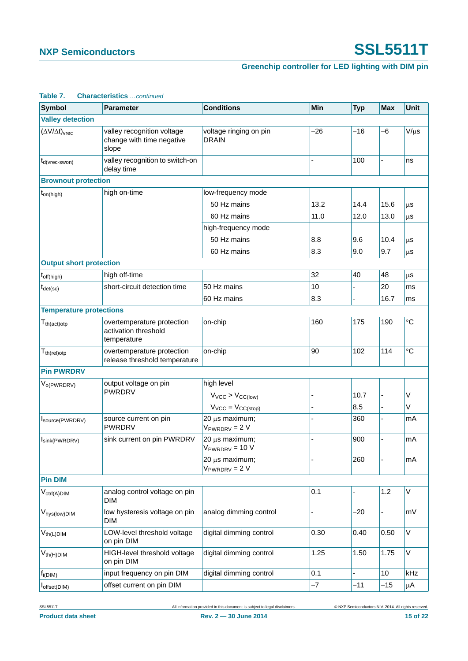### **Greenchip controller for LED lighting with DIM pin**

| iabi <del>c</del> r.<br><b>Symbol</b> | <b>UTIQI QUICI ISHUS</b> COMMINED<br><b>Parameter</b>             | <b>Conditions</b>                      | <b>Min</b> | <b>Typ</b> | <b>Max</b> | <b>Unit</b>     |
|---------------------------------------|-------------------------------------------------------------------|----------------------------------------|------------|------------|------------|-----------------|
| <b>Valley detection</b>               |                                                                   |                                        |            |            |            |                 |
| $(\Delta V/\Delta t)_{\text{vrec}}$   | valley recognition voltage<br>change with time negative           | voltage ringing on pin<br><b>DRAIN</b> | $-26$      | $-16$      | -6         | $V/\mu s$       |
|                                       | slope                                                             |                                        |            |            |            |                 |
| $t_{\text{d}(\text{vrec-swon})}$      | valley recognition to switch-on<br>delay time                     |                                        |            | 100        |            | ns              |
| <b>Brownout protection</b>            |                                                                   |                                        |            |            |            |                 |
| $t_{on(high)}$                        | high on-time                                                      | low-frequency mode                     |            |            |            |                 |
|                                       |                                                                   | 50 Hz mains                            | 13.2       | 14.4       | 15.6       | μS              |
|                                       |                                                                   | 60 Hz mains                            | 11.0       | 12.0       | 13.0       | μS              |
|                                       |                                                                   | high-frequency mode                    |            |            |            |                 |
|                                       |                                                                   | 50 Hz mains                            | 8.8        | 9.6        | 10.4       | μS              |
|                                       |                                                                   | 60 Hz mains                            | 8.3        | 9.0        | 9.7        | μS              |
| <b>Output short protection</b>        |                                                                   |                                        |            |            |            |                 |
| $t_{off(high)}$                       | high off-time                                                     |                                        | 32         | 40         | 48         | μS              |
| $t_{\text{det}(\text{sc})}$           | short-circuit detection time                                      | 50 Hz mains                            | 10         |            | 20         | ms              |
|                                       |                                                                   | 60 Hz mains                            | 8.3        |            | 16.7       | ms              |
| <b>Temperature protections</b>        |                                                                   |                                        |            |            |            |                 |
| $T_{th (act)otp}$                     | overtemperature protection<br>activation threshold<br>temperature | on-chip                                | 160        | 175        | 190        | $^{\circ}C$     |
| $T_{th (rel)otp}$                     | overtemperature protection<br>release threshold temperature       | on-chip                                | 90         | 102        | 114        | $\rm ^{\circ}C$ |
| <b>Pin PWRDRV</b>                     |                                                                   |                                        |            |            |            |                 |
| V <sub>o(PWRDRV)</sub>                | output voltage on pin                                             | high level                             |            |            |            |                 |
|                                       | <b>PWRDRV</b>                                                     | $V_{VCC}$ > $V_{CC(low)}$              |            | 10.7       |            | V               |
|                                       |                                                                   | $V_{VCC} = V_{CC(stop)}$               |            | 8.5        |            | V               |
| Isource(PWRDRV)                       | source current on pin                                             | 20 µs maximum;                         |            | 360        | -          | mA              |
|                                       | <b>PWRDRV</b>                                                     | $V_{PWRDRV} = 2 V$                     |            |            |            |                 |
| Isink(PWRDRV)                         | sink current on pin PWRDRV                                        | 20 µs maximum;<br>$V_{PWRDRV} = 10 V$  |            | 900        |            | mA              |
|                                       |                                                                   | 20 µs maximum;<br>$V_{PWRDRV} = 2 V$   |            | 260        |            | mA              |
| <b>Pin DIM</b>                        |                                                                   |                                        |            |            |            |                 |
| $V_{ctrl(A)DIM}$                      | analog control voltage on pin<br><b>DIM</b>                       |                                        | 0.1        |            | 1.2        | V               |
| V <sub>hys(low)DIM</sub>              | low hysteresis voltage on pin<br><b>DIM</b>                       | analog dimming control                 |            | $-20$      |            | mV              |
| $V_{th(L)DIM}$                        | LOW-level threshold voltage<br>on pin DIM                         | digital dimming control                | 0.30       | 0.40       | 0.50       | V               |
| $V_{th(H)DIM}$                        | HIGH-level threshold voltage<br>on pin DIM                        | digital dimming control                | 1.25       | 1.50       | 1.75       | V               |
| $f_{i(DIM)}$                          | input frequency on pin DIM                                        | digital dimming control                | 0.1        |            | 10         | kHz             |
| I <sub>offset</sub> (DIM)             | offset current on pin DIM                                         |                                        | $-7$       | $-11$      | $-15$      | μA              |

#### **Table 7. Characteristics** *…continued*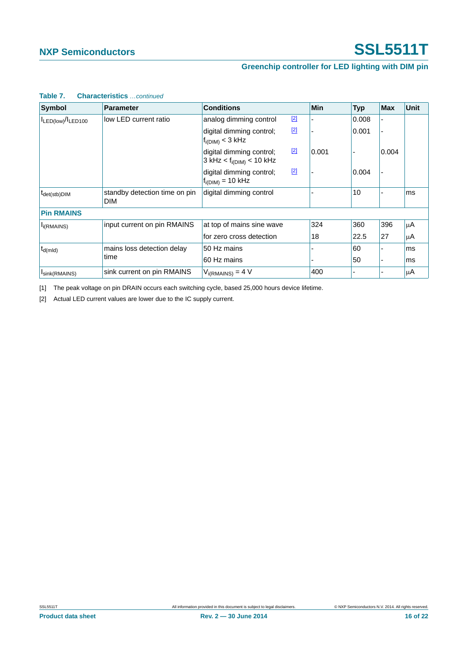### **Greenchip controller for LED lighting with DIM pin**

| <b>Symbol</b>            | <b>Parameter</b>                            | <b>Conditions</b>                                           |       | <b>Min</b> | <b>Typ</b> | <b>Max</b> | <b>Unit</b> |
|--------------------------|---------------------------------------------|-------------------------------------------------------------|-------|------------|------------|------------|-------------|
| ILED(low)/ILED100        | low LED current ratio                       | analog dimming control                                      | $[2]$ |            | 0.008      |            |             |
|                          |                                             | digital dimming control;<br>$f_{i(DIM)} < 3$ kHz            | $[2]$ |            | 0.001      |            |             |
|                          |                                             | digital dimming control;<br>$3$ kHz < $f_{i(DIM)}$ < 10 kHz | $[2]$ | 0.001      |            | 0.004      |             |
|                          |                                             | digital dimming control;<br>$f_{i(DIM)} = 10$ kHz           | $[2]$ |            | 0.004      |            |             |
| t <sub>det(stb)DIM</sub> | standby detection time on pin<br><b>DIM</b> | digital dimming control                                     |       |            | 10         |            | ms          |
| <b>Pin RMAINS</b>        |                                             |                                                             |       |            |            |            |             |
| I <sub>i</sub> (RMAINS)  | input current on pin RMAINS                 | at top of mains sine wave                                   |       | 324        | 360        | 396        | μA          |
|                          |                                             | for zero cross detection                                    |       | 18         | 22.5       | 27         | μA          |
| $t_{d(mld)}$             | mains loss detection delay                  | 50 Hz mains                                                 |       |            | 60         |            | ms          |
|                          | time                                        | 60 Hz mains                                                 |       |            | 50         |            | ms          |
| Isink(RMAINS)            | sink current on pin RMAINS                  | $V_{i(RMAINS)} = 4 V$                                       |       | 400        |            |            | μA          |

#### **Table 7. Characteristics** *…continued*

<span id="page-15-0"></span>[1] The peak voltage on pin DRAIN occurs each switching cycle, based 25,000 hours device lifetime.

<span id="page-15-1"></span>[2] Actual LED current values are lower due to the IC supply current.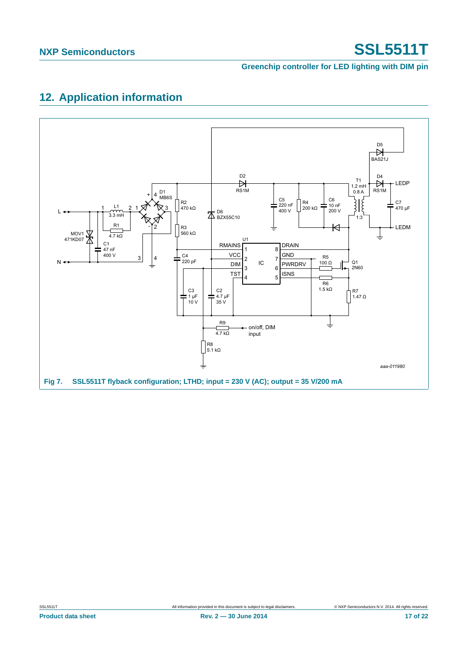**Greenchip controller for LED lighting with DIM pin**

# <span id="page-16-0"></span>**12. Application information**

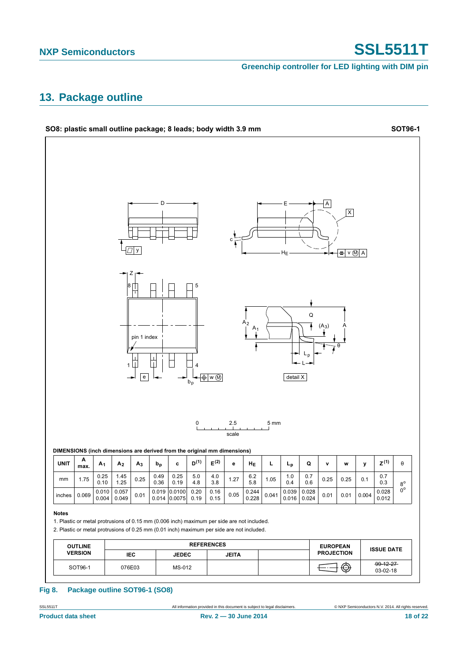**Greenchip controller for LED lighting with DIM pin**

### <span id="page-17-0"></span>**13. Package outline**

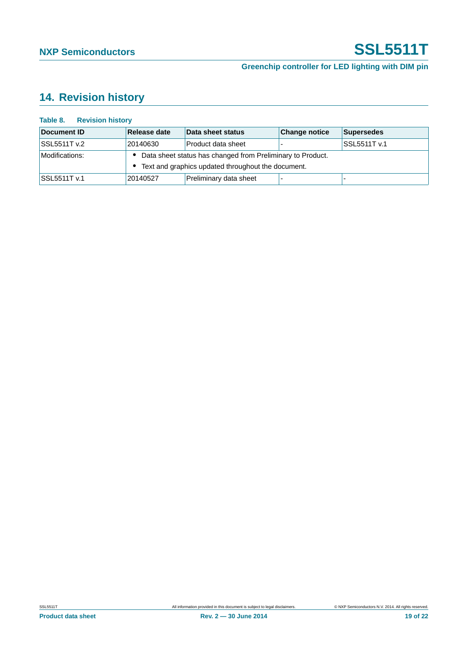# <span id="page-18-0"></span>**14. Revision history**

| Document ID         | Release date                                                 | Data sheet status      | <b>Change notice</b> | Supersedes   |  |
|---------------------|--------------------------------------------------------------|------------------------|----------------------|--------------|--|
| SSL5511T v.2        | 20140630                                                     | Product data sheet     |                      | SSL5511T v.1 |  |
| Modifications:      | • Data sheet status has changed from Preliminary to Product. |                        |                      |              |  |
|                     | • Text and graphics updated throughout the document.         |                        |                      |              |  |
| <b>SSL5511T v.1</b> | 20140527                                                     | Preliminary data sheet |                      |              |  |

#### **Table 8. Revision history**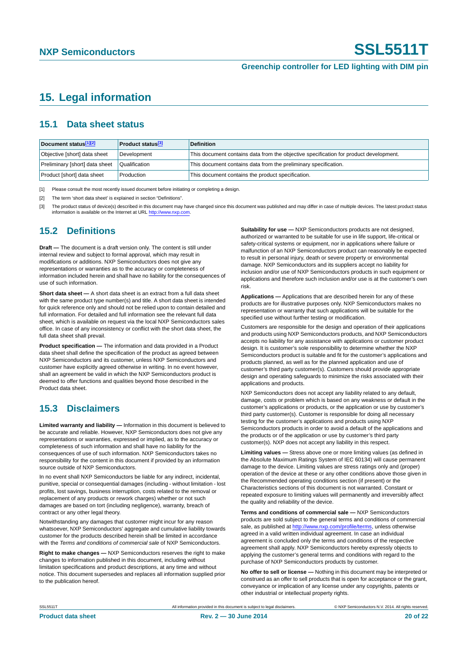### <span id="page-19-3"></span>**15. Legal information**

#### <span id="page-19-4"></span>**15.1 Data sheet status**

| Document status[1][2]          | <b>Product status</b> <sup>[3]</sup> | <b>Definition</b>                                                                     |
|--------------------------------|--------------------------------------|---------------------------------------------------------------------------------------|
| Objective [short] data sheet   | Development                          | This document contains data from the objective specification for product development. |
| Preliminary [short] data sheet | Qualification                        | This document contains data from the preliminary specification.                       |
| Product [short] data sheet     | Production                           | This document contains the product specification.                                     |

<span id="page-19-0"></span>[1] Please consult the most recently issued document before initiating or completing a design.

<span id="page-19-1"></span>[2] The term 'short data sheet' is explained in section "Definitions".

<span id="page-19-2"></span>[3] The product status of device(s) described in this document may have changed since this document was published and may differ in case of multiple devices. The latest product status<br>information is available on the Intern

#### <span id="page-19-5"></span>**15.2 Definitions**

**Draft —** The document is a draft version only. The content is still under internal review and subject to formal approval, which may result in modifications or additions. NXP Semiconductors does not give any representations or warranties as to the accuracy or completeness of information included herein and shall have no liability for the consequences of use of such information.

**Short data sheet —** A short data sheet is an extract from a full data sheet with the same product type number(s) and title. A short data sheet is intended for quick reference only and should not be relied upon to contain detailed and full information. For detailed and full information see the relevant full data sheet, which is available on request via the local NXP Semiconductors sales office. In case of any inconsistency or conflict with the short data sheet, the full data sheet shall prevail.

**Product specification —** The information and data provided in a Product data sheet shall define the specification of the product as agreed between NXP Semiconductors and its customer, unless NXP Semiconductors and customer have explicitly agreed otherwise in writing. In no event however, shall an agreement be valid in which the NXP Semiconductors product is deemed to offer functions and qualities beyond those described in the Product data sheet.

### <span id="page-19-6"></span>**15.3 Disclaimers**

**Limited warranty and liability —** Information in this document is believed to be accurate and reliable. However, NXP Semiconductors does not give any representations or warranties, expressed or implied, as to the accuracy or completeness of such information and shall have no liability for the consequences of use of such information. NXP Semiconductors takes no responsibility for the content in this document if provided by an information source outside of NXP Semiconductors.

In no event shall NXP Semiconductors be liable for any indirect, incidental, punitive, special or consequential damages (including - without limitation - lost profits, lost savings, business interruption, costs related to the removal or replacement of any products or rework charges) whether or not such damages are based on tort (including negligence), warranty, breach of contract or any other legal theory.

Notwithstanding any damages that customer might incur for any reason whatsoever, NXP Semiconductors' aggregate and cumulative liability towards customer for the products described herein shall be limited in accordance with the *Terms and conditions of commercial sale* of NXP Semiconductors.

**Right to make changes —** NXP Semiconductors reserves the right to make changes to information published in this document, including without limitation specifications and product descriptions, at any time and without notice. This document supersedes and replaces all information supplied prior to the publication hereof.

**Suitability for use —** NXP Semiconductors products are not designed, authorized or warranted to be suitable for use in life support, life-critical or safety-critical systems or equipment, nor in applications where failure or malfunction of an NXP Semiconductors product can reasonably be expected to result in personal injury, death or severe property or environmental damage. NXP Semiconductors and its suppliers accept no liability for inclusion and/or use of NXP Semiconductors products in such equipment or applications and therefore such inclusion and/or use is at the customer's own risk.

**Applications —** Applications that are described herein for any of these products are for illustrative purposes only. NXP Semiconductors makes no representation or warranty that such applications will be suitable for the specified use without further testing or modification.

Customers are responsible for the design and operation of their applications and products using NXP Semiconductors products, and NXP Semiconductors accepts no liability for any assistance with applications or customer product design. It is customer's sole responsibility to determine whether the NXP Semiconductors product is suitable and fit for the customer's applications and products planned, as well as for the planned application and use of customer's third party customer(s). Customers should provide appropriate design and operating safeguards to minimize the risks associated with their applications and products.

NXP Semiconductors does not accept any liability related to any default, damage, costs or problem which is based on any weakness or default in the customer's applications or products, or the application or use by customer's third party customer(s). Customer is responsible for doing all necessary testing for the customer's applications and products using NXP Semiconductors products in order to avoid a default of the applications and the products or of the application or use by customer's third party customer(s). NXP does not accept any liability in this respect.

**Limiting values —** Stress above one or more limiting values (as defined in the Absolute Maximum Ratings System of IEC 60134) will cause permanent damage to the device. Limiting values are stress ratings only and (proper) operation of the device at these or any other conditions above those given in the Recommended operating conditions section (if present) or the Characteristics sections of this document is not warranted. Constant or repeated exposure to limiting values will permanently and irreversibly affect the quality and reliability of the device.

**Terms and conditions of commercial sale —** NXP Semiconductors products are sold subject to the general terms and conditions of commercial sale, as published at<http://www.nxp.com/profile/terms>, unless otherwise agreed in a valid written individual agreement. In case an individual agreement is concluded only the terms and conditions of the respective agreement shall apply. NXP Semiconductors hereby expressly objects to applying the customer's general terms and conditions with regard to the purchase of NXP Semiconductors products by customer.

**No offer to sell or license —** Nothing in this document may be interpreted or construed as an offer to sell products that is open for acceptance or the grant, conveyance or implication of any license under any copyrights, patents or other industrial or intellectual property rights.

SSL5511T All information provided in this document is subject to legal disclaimers. © NXP Semiconductors N.V. 2014. All rights reserved.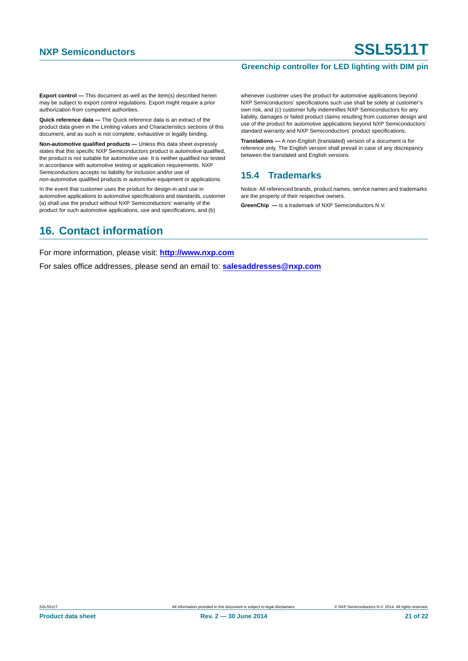#### **Greenchip controller for LED lighting with DIM pin**

**Export control —** This document as well as the item(s) described herein may be subject to export control regulations. Export might require a prior authorization from competent authorities.

**Quick reference data —** The Quick reference data is an extract of the product data given in the Limiting values and Characteristics sections of this document, and as such is not complete, exhaustive or legally binding.

**Non-automotive qualified products —** Unless this data sheet expressly states that this specific NXP Semiconductors product is automotive qualified, the product is not suitable for automotive use. It is neither qualified nor tested in accordance with automotive testing or application requirements. NXP Semiconductors accepts no liability for inclusion and/or use of non-automotive qualified products in automotive equipment or applications.

In the event that customer uses the product for design-in and use in automotive applications to automotive specifications and standards, customer (a) shall use the product without NXP Semiconductors' warranty of the product for such automotive applications, use and specifications, and (b)

whenever customer uses the product for automotive applications beyond NXP Semiconductors' specifications such use shall be solely at customer's own risk, and (c) customer fully indemnifies NXP Semiconductors for any liability, damages or failed product claims resulting from customer design and use of the product for automotive applications beyond NXP Semiconductors' standard warranty and NXP Semiconductors' product specifications.

**Translations —** A non-English (translated) version of a document is for reference only. The English version shall prevail in case of any discrepancy between the translated and English versions.

#### <span id="page-20-0"></span>**15.4 Trademarks**

Notice: All referenced brands, product names, service names and trademarks are the property of their respective owners.

**GreenChip —** is a trademark of NXP Semiconductors N.V.

## <span id="page-20-1"></span>**16. Contact information**

For more information, please visit: **http://www.nxp.com**

For sales office addresses, please send an email to: **salesaddresses@nxp.com**